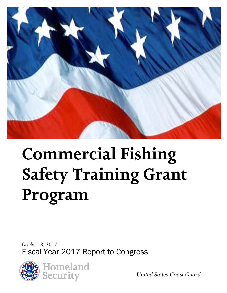

# **Commercial Fishing Safety Training Grant Program**

*October 18, 2017* Fiscal Year 2017 Report to Congress



*United States Coast Guard*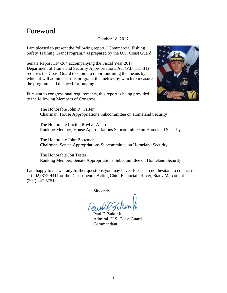## Foreword

#### October 18, 2017

I am pleased to present the following report, "Commercial Fishing Safety Training Grant Program," as prepared by the U.S. Coast Guard.

Senate Report 114-264 accompanying the Fiscal Year 2017 Department of Homeland Security Appropriations Act (P.L. 115-31) requires the Coast Guard to submit a report outlining the means by which it will administer this program, the metrics by which to measure the program, and the need for funding.

Pursuant to congressional requirements, this report is being provided to the following Members of Congress:



The Honorable John R. Carter Chairman, House Appropriations Subcommittee on Homeland Security

The Honorable Lucille Roybal-Allard Ranking Member, House Appropriations Subcommittee on Homeland Security

The Honorable John Boozman Chairman, Senate Appropriations Subcommittee on Homeland Security

The Honorable Jon Tester Ranking Member, Senate Appropriations Subcommittee on Homeland Security

I am happy to answer any further questions you may have. Please do not hesitate to contact me at (202) 372-4411 or the Department's Acting Chief Financial Officer, Stacy Marcott, at (202) 447-5751.

Sincerely,

Paul F. Zukunft Admiral, U.S. Coast Guard Commandant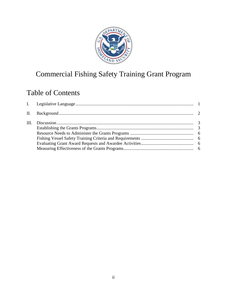

# Commercial Fishing Safety Training Grant Program

# Table of Contents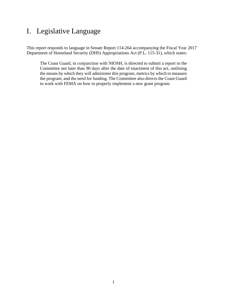# <span id="page-3-0"></span>I. Legislative Language

This report responds to language in Senate Report 114-264 accompanying the Fiscal Year 2017 Department of Homeland Security (DHS) Appropriations Act (P.L. 115-31), which states:

The Coast Guard, in conjunction with NIOSH, is directed to submit a report to the Committee not later than 90 days after the date of enactment of this act, outlining the means by which they will administer this program, metrics by which to measure the program, and the need for funding. The Committee also directs the Coast Guard to work with FEMA on how to properly implement a new grant program.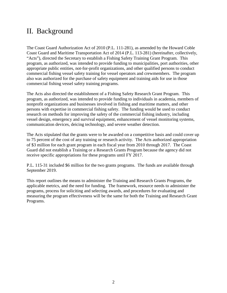# <span id="page-4-0"></span>II. Background

The Coast Guard Authorization Act of 2010 (P.L. 111-281), as amended by the Howard Coble Coast Guard and Maritime Transportation Act of 2014 (P.L. 113-281) (hereinafter, collectively, "Acts"), directed the Secretary to establish a Fishing Safety Training Grant Program. This program, as authorized, was intended to provide funding to municipalities, port authorities, other appropriate public entities, not-for-profit organizations, and other qualified persons to conduct commercial fishing vessel safety training for vessel operators and crewmembers. The program also was authorized for the purchase of safety equipment and training aids for use in those commercial fishing vessel safety training programs.

The Acts also directed the establishment of a Fishing Safety Research Grant Program. This program, as authorized, was intended to provide funding to individuals in academia, members of nonprofit organizations and businesses involved in fishing and maritime matters, and other persons with expertise in commercial fishing safety. The funding would be used to conduct research on methods for improving the safety of the commercial fishing industry, including vessel design, emergency and survival equipment, enhancement of vessel monitoring systems, communication devices, deicing technology, and severe weather detection.

The Acts stipulated that the grants were to be awarded on a competitive basis and could cover up to 75 percent of the cost of any training or research activity. The Acts authorized appropriation of \$3 million for each grant program in each fiscal year from 2010 through 2017. The Coast Guard did not establish a Training or a Research Grants Program because the agency did not receive specific appropriations for these programs until FY 2017.

P.L. 115-31 included \$6 million for the two grants programs. The funds are available through September 2019.

This report outlines the means to administer the Training and Research Grants Programs, the applicable metrics, and the need for funding. The framework, resource needs to administer the programs, process for soliciting and selecting awards, and procedures for evaluating and measuring the program effectiveness will be the same for both the Training and Research Grant Programs.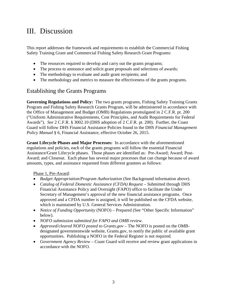# <span id="page-5-0"></span>III. Discussion

This report addresses the framework and requirements to establish the Commercial Fishing Safety Training Grant and Commercial Fishing Safety Research Grant Programs:

- The resources required to develop and carry out the grants programs;
- The process to announce and solicit grant proposals and selections of awards;
- The methodology to evaluate and audit grant recipients; and
- The methodology and metrics to measure the effectiveness of the grants programs.

#### <span id="page-5-1"></span>Establishing the Grants Programs

**Governing Regulations and Policy:** The two grants programs, Fishing Safety Training Grants Program and Fishing Safety Research Grants Program, will be administered in accordance with the Office of Management and Budget (OMB) Regulations promulgated in 2 C.F.R. pt. 200 ("Uniform Administrative Requirements, Cost Principles, and Audit Requirements for Federal Awards"). *See* 2 C.F.R. § 3002.10 (DHS adoption of 2 C.F.R. pt. 200). Further, the Coast Guard will follow DHS Financial Assistance Policies found in the DHS *Financial Management Policy Manual* § 6, Financial Assistance, effective October 26, 2015.

**Grant Lifecycle Phases and Major Processes:** In accordance with the aforementioned regulations and policies, each of the grants programs will follow the essential Financial Assistance/Grant Lifecycle phases. Those phases are identified as: Pre-Award; Award; Post-Award; and Closeout. Each phase has several major processes that can change because of award amounts, types, and assistance requested from different grantees as follows:

#### Phase 1, Pre-Award:

- *Budget Appropriation/Program Authorization* (See Background information above).
- *Catalog of Federal Domestic Assistance (CFDA) Request Submitted through DHS* Financial Assistance Policy and Oversight (FAPO) office to facilitate the Under Secretary of Management's approval of the new financial assistance programs. Once approved and a CFDA number is assigned, it will be published on the CFDA website, which is maintained by U.S. General Services Administration.
- *Notice of Funding Opportunity* (NOFO) Prepared (See "Other Specific Information" below).
- *NOFO submission submitted for FAPO and OMB review.*
- *Approved/cleared NOFO posted to Grants.gov –* The NOFO is posted on the OMBdesignated governmentwide website, Grants.gov, to notify the public of available grant opportunities. Publishing a NOFO in the Federal Register is not required.
- *Government Agency Review* Coast Guard will receive and review grant applications in accordance with the NOFO.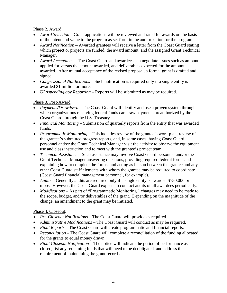Phase 2, Award:

- *Award Selection* Grant applications will be reviewed and rated for awards on the basis of the intent and value to the program as set forth in the authorization for the program.
- *Award Notification* Awarded grantees will receive a letter from the Coast Guard stating which project or projects are funded, the award amount, and the assigned Grant Technical Manager.
- *Award Acceptance* The Coast Guard and awardees can negotiate issues such as amount applied for versus the amount awarded, and deliverables expected for the amount awarded. After mutual acceptance of the revised proposal, a formal grant is drafted and signed.
- *Congressional Notifications* Such notification is required only if a single entity is awarded \$1 million or more.
- *USAspending.gov Reporting* Reports will be submitted as may be required.

#### Phase 3, Post-Award:

- *Payments/Drawdown* The Coast Guard will identify and use a proven system through which organizations receiving federal funds can draw payments preauthorized by the Coast Guard through the U.S. Treasury.
- *Financial Monitoring* Submission of quarterly reports from the entity that was awarded funds.
- *Programmatic Monitoring* This includes review of the grantee's work plan, review of the grantee's submitted progress reports, and, in some cases, having Coast Guard personnel and/or the Grant Technical Manager visit the activity to observe the equipment use and class instruction and to meet with the grantee's project team.
- *Technical Assistance* Such assistance may involve Coast Guard personnel and/or the Grant Technical Manager answering questions, providing required federal forms and explaining how to complete the forms, and acting as liaison between the grantee and any other Coast Guard staff elements with whom the grantee may be required to coordinate (Coast Guard financial management personnel, for example).
- *Audits* Generally audits are required only if a single entity is awarded \$750,000 or more. However, the Coast Guard expects to conduct audits of all awardees periodically.
- *Modifications* As part of "Programmatic Monitoring," changes may need to be made to the scope, budget, and/or deliverables of the grant. Depending on the magnitude of the change, an amendment to the grant may be initiated.

#### Phase 4, Closeout:

- *Pre-Closeout Notifications* The Coast Guard will provide as required.
- *Administrative Modifications* The Coast Guard will conduct as may be required.
- *Final Reports* The Coast Guard will create programmatic and financial reports.
- *Reconciliation* The Coast Guard will complete a reconciliation of the funding allocated for the grants to equal money drawn.
- *Final Closeout Notification* The notice will indicate the period of performance as closed, list any remaining funds that will need to be deobligated, and address the requirement of maintaining the grant records.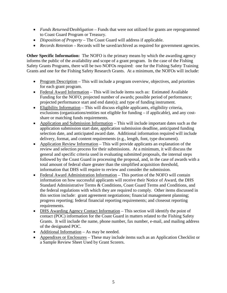- *Funds Returned/Deobligation –* Funds that were not utilized for grants are reprogrammed to Coast Guard Program or Treasury.
- *Disposition of Property* The Coast Guard will address if applicable.
- *Records Retention* Records will be saved/archived as required for government agencies.

**Other Specific Information:** The NOFO is the primary means by which the awarding agency informs the public of the availability and scope of a grant program. In the case of the Fishing Safety Grants Programs, there will be two NOFOs required: one for the Fishing Safety Training Grants and one for the Fishing Safety Research Grants. At a minimum, the NOFOs will include:

- Program Description This will include a program overview, objectives, and priorities for each grant program.
- Federal Award Information This will include items such as: Estimated Available Funding for the NOFO; projected number of awards; possible period of performance; projected performance start and end date(s); and type of funding instrument.
- Eligibility Information This will discuss eligible applicants, eligibility criteria, exclusions (organizations/entities not eligible for funding – if applicable), and any costshare or matching funds requirements.
- Application and Submission Information This will include important dates such as the application submission start date, application submission deadline, anticipated funding selection date, and anticipated award date. Additional information required will include delivery, format, and content requirements (e.g., length, font, type document).
- Application Review Information This will provide applicants an explanation of the review and selection process for their submissions. At a minimum, it will discuss the general and specific criteria used in evaluating submitted proposals, the internal steps followed by the Coast Guard in processing the proposal, and, in the case of awards with a total amount of federal share greater than the simplified acquisition threshold, information that DHS will require to review and consider the submission.
- Federal Award Administration Information This portion of the NOFO will contain information on how successful applicants will receive their Notice of Award, the DHS Standard Administrative Terms & Conditions, Coast Guard Terms and Conditions, and the federal regulations with which they are required to comply. Other items discussed in this section include: grant agreement negotiations; financial management planning; progress reporting; federal financial reporting requirements; and closeout reporting requirements.
- DHS Awarding Agency Contact Information This section will identify the point of contact (POC) information for the Coast Guard in matters related to the Fishing Safety Grants. It will include the name, phone number, fax number, e-mail, and mailing address of the designated POC.
- Additional Information As may be needed.
- Appendixes or Enclosures These may include items such as an Application Checklist or a Sample Review Sheet Used by Grant Scorers.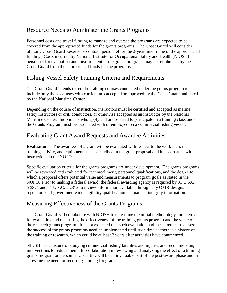## <span id="page-8-0"></span>Resource Needs to Administer the Grants Programs

Personnel costs and travel funding to manage and oversee the programs are expected to be covered from the appropriated funds for the grants programs. The Coast Guard will consider utilizing Coast Guard Reserve or contract personnel for the 2-year time frame of the appropriated funding. Costs incurred by National Institute for Occupational Safety and Health (NIOSH) personnel for evaluation and measurement of the grants programs may be reimbursed by the Coast Guard from the appropriated funds for the programs.

## <span id="page-8-1"></span>Fishing Vessel Safety Training Criteria and Requirements

The Coast Guard intends to require training courses conducted under the grants program to include only those courses with curriculums accepted or approved by the Coast Guard and listed by the National Maritime Center.

Depending on the course of instruction, instructors must be certified and accepted as marine safety instructors or drill conductors, or otherwise accepted as an instructor by the National Maritime Center. Individuals who apply and are selected to participate in a training class under the Grants Program must be associated with or employed on a commercial fishing vessel.

## <span id="page-8-2"></span>Evaluating Grant Award Requests and Awardee Activities

**Evaluations:** The awardees of a grant will be evaluated with respect to the work plan, the training activity, and equipment use as described in the grant proposal and in accordance with instructions in the NOFO.

Specific evaluation criteria for the grants programs are under development. The grants programs will be reviewed and evaluated for technical merit, personnel qualifications, and the degree to which a proposal offers potential value and measurements to program goals as stated in the NOFO. Prior to making a federal award, the federal awarding agency is required by 31 U.S.C. § 3321 and 41 U.S.C. § 2313 to review information available through any OMB-designated repositories of governmentwide eligibility qualification or financial integrity information.

#### <span id="page-8-3"></span>Measuring Effectiveness of the Grants Programs

The Coast Guard will collaborate with NIOSH to determine the initial methodology and metrics for evaluating and measuring the effectiveness of the training grants program and the value of the research grants program. It is not expected that such evaluation and measurement to assess the success of the grants programs need be implemented until such time as there is a history of the training or research, which could be at least 2 years after activities have commenced.

NIOSH has a history of studying commercial fishing fatalities and injuries and recommending interventions to reduce them. Its collaboration in reviewing and analyzing the effect of a training grants program on personnel casualties will be an invaluable part of the post-award phase and in assessing the need for recurring funding for grants.